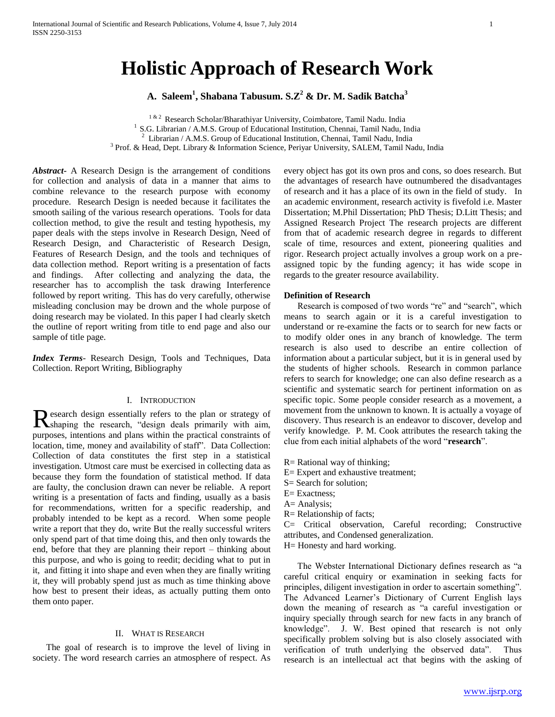# **Holistic Approach of Research Work**

**A. Saleem<sup>1</sup> , Shabana Tabusum. S.Z<sup>2</sup> & Dr. M. Sadik Batcha<sup>3</sup>**

<sup>1 & 2</sup> Research Scholar/Bharathiyar University, Coimbatore, Tamil Nadu. India <sup>1</sup> S.G. Librarian / A.M.S. Group of Educational Institution, Chennai, Tamil Nadu, India 2 Librarian / A.M.S. Group of Educational Institution, Chennai, Tamil Nadu, India <sup>3</sup> Prof. & Head, Dept. Library & Information Science, Periyar University, SALEM, Tamil Nadu, India

*Abstract***-** A Research Design is the arrangement of conditions for collection and analysis of data in a manner that aims to combine relevance to the research purpose with economy procedure. Research Design is needed because it facilitates the smooth sailing of the various research operations. Tools for data collection method, to give the result and testing hypothesis, my paper deals with the steps involve in Research Design, Need of Research Design, and Characteristic of Research Design, Features of Research Design, and the tools and techniques of data collection method. Report writing is a presentation of facts and findings. After collecting and analyzing the data, the researcher has to accomplish the task drawing Interference followed by report writing. This has do very carefully, otherwise misleading conclusion may be drown and the whole purpose of doing research may be violated. In this paper I had clearly sketch the outline of report writing from title to end page and also our sample of title page.

*Index Terms*- Research Design, Tools and Techniques, Data Collection. Report Writing, Bibliography

#### I. INTRODUCTION

esearch design essentially refers to the plan or strategy of Research design essentially refers to the plan or strategy of Shaping the research, "design deals primarily with aim, purposes, intentions and plans within the practical constraints of location, time, money and availability of staff". Data Collection: Collection of data constitutes the first step in a statistical investigation. Utmost care must be exercised in collecting data as because they form the foundation of statistical method. If data are faulty, the conclusion drawn can never be reliable. A report writing is a presentation of facts and finding, usually as a basis for recommendations, written for a specific readership, and probably intended to be kept as a record. When some people write a report that they do, write But the really successful writers only spend part of that time doing this, and then only towards the end, before that they are planning their report – thinking about this purpose, and who is going to reedit; deciding what to put in it, and fitting it into shape and even when they are finally writing it, they will probably spend just as much as time thinking above how best to present their ideas, as actually putting them onto them onto paper.

## II. WHAT IS RESEARCH

 The goal of research is to improve the level of living in society. The word research carries an atmosphere of respect. As every object has got its own pros and cons, so does research. But the advantages of research have outnumbered the disadvantages of research and it has a place of its own in the field of study. In an academic environment, research activity is fivefold i.e. Master Dissertation; M.Phil Dissertation; PhD Thesis; D.Litt Thesis; and Assigned Research Project The research projects are different from that of academic research degree in regards to different scale of time, resources and extent, pioneering qualities and rigor. Research project actually involves a group work on a preassigned topic by the funding agency; it has wide scope in regards to the greater resource availability.

#### **Definition of Research**

 Research is composed of two words "re" and "search", which means to search again or it is a careful investigation to understand or re-examine the facts or to search for new facts or to modify older ones in any branch of knowledge. The term research is also used to describe an entire collection of information about a particular subject, but it is in general used by the students of higher schools. Research in common parlance refers to search for knowledge; one can also define research as a scientific and systematic search for pertinent information on as specific topic. Some people consider research as a movement, a movement from the unknown to known. It is actually a voyage of discovery. Thus research is an endeavor to discover, develop and verify knowledge. P. M. Cook attributes the research taking the clue from each initial alphabets of the word "**research**".

- R= Rational way of thinking;
- E= Expert and exhaustive treatment;
- S= Search for solution;
- E= Exactness;
- A= Analysis;
- R= Relationship of facts;

C= Critical observation, Careful recording; Constructive attributes, and Condensed generalization.

H= Honesty and hard working.

 The Webster International Dictionary defines research as "a careful critical enquiry or examination in seeking facts for principles, diligent investigation in order to ascertain something". The Advanced Learner's Dictionary of Current English lays down the meaning of research as "a careful investigation or inquiry specially through search for new facts in any branch of knowledge". J. W. Best opined that research is not only specifically problem solving but is also closely associated with verification of truth underlying the observed data". Thus research is an intellectual act that begins with the asking of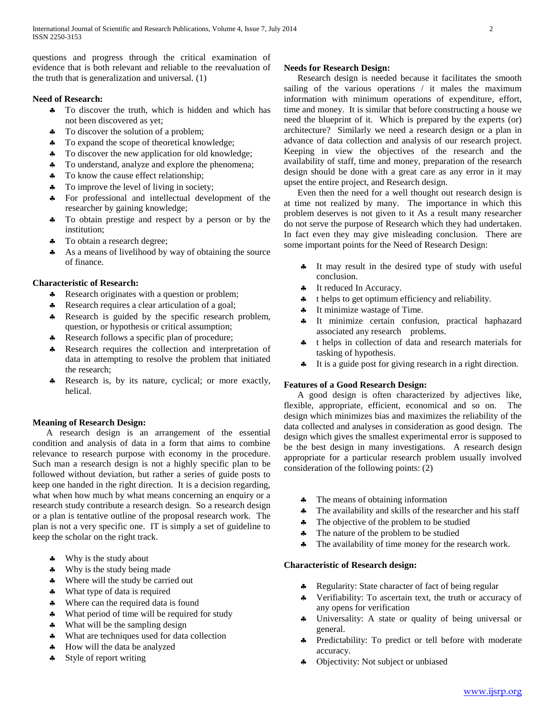questions and progress through the critical examination of evidence that is both relevant and reliable to the reevaluation of the truth that is generalization and universal. (1)

# **Need of Research:**

- $\clubsuit$  To discover the truth, which is hidden and which has not been discovered as yet;
- To discover the solution of a problem;
- \* To expand the scope of theoretical knowledge;
- To discover the new application for old knowledge;
- **\*** To understand, analyze and explore the phenomena;
- To know the cause effect relationship;
- To improve the level of living in society;
- For professional and intellectual development of the researcher by gaining knowledge;
- To obtain prestige and respect by a person or by the institution;
- To obtain a research degree;
- As a means of livelihood by way of obtaining the source of finance.

## **Characteristic of Research:**

- \* Research originates with a question or problem;
- A Research requires a clear articulation of a goal;
- \* Research is guided by the specific research problem, question, or hypothesis or critical assumption;
- \* Research follows a specific plan of procedure;
- \* Research requires the collection and interpretation of data in attempting to resolve the problem that initiated the research;
- \* Research is, by its nature, cyclical; or more exactly, helical.

## **Meaning of Research Design:**

 A research design is an arrangement of the essential condition and analysis of data in a form that aims to combine relevance to research purpose with economy in the procedure. Such man a research design is not a highly specific plan to be followed without deviation, but rather a series of guide posts to keep one handed in the right direction. It is a decision regarding, what when how much by what means concerning an enquiry or a research study contribute a research design. So a research design or a plan is tentative outline of the proposal research work. The plan is not a very specific one. IT is simply a set of guideline to keep the scholar on the right track.

- Why is the study about
- Why is the study being made
- Where will the study be carried out
- What type of data is required
- Where can the required data is found
- What period of time will be required for study
- What will be the sampling design
- What are techniques used for data collection
- $\clubsuit$  How will the data be analyzed
- \* Style of report writing

# **Needs for Research Design:**

 Research design is needed because it facilitates the smooth sailing of the various operations / it males the maximum information with minimum operations of expenditure, effort, time and money. It is similar that before constructing a house we need the blueprint of it. Which is prepared by the experts (or) architecture? Similarly we need a research design or a plan in advance of data collection and analysis of our research project. Keeping in view the objectives of the research and the availability of staff, time and money, preparation of the research design should be done with a great care as any error in it may upset the entire project, and Research design.

 Even then the need for a well thought out research design is at time not realized by many. The importance in which this problem deserves is not given to it As a result many researcher do not serve the purpose of Research which they had undertaken. In fact even they may give misleading conclusion. There are some important points for the Need of Research Design:

- $\clubsuit$  It may result in the desired type of study with useful conclusion.
- It reduced In Accuracy.
- $\triangle$  thelps to get optimum efficiency and reliability.
- $\bullet$  It minimize wastage of Time.
- It minimize certain confusion, practical haphazard associated any research problems.
- t helps in collection of data and research materials for tasking of hypothesis.
- It is a guide post for giving research in a right direction.

## **Features of a Good Research Design:**

 A good design is often characterized by adjectives like, flexible, appropriate, efficient, economical and so on. The design which minimizes bias and maximizes the reliability of the data collected and analyses in consideration as good design. The design which gives the smallest experimental error is supposed to be the best design in many investigations. A research design appropriate for a particular research problem usually involved consideration of the following points: (2)

- The means of obtaining information
- The availability and skills of the researcher and his staff
- The objective of the problem to be studied
- The nature of the problem to be studied
- The availability of time money for the research work.

## **Characteristic of Research design:**

- \* Regularity: State character of fact of being regular
- Verifiability: To ascertain text, the truth or accuracy of any opens for verification
- Universality: A state or quality of being universal or general.
- **\*** Predictability: To predict or tell before with moderate accuracy.
- Objectivity: Not subject or unbiased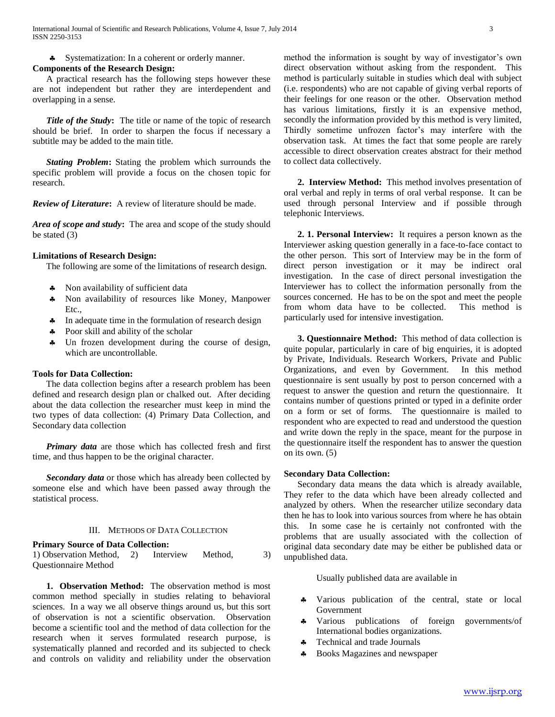Systematization: In a coherent or orderly manner.

## **Components of the Research Design:**

 A practical research has the following steps however these are not independent but rather they are interdependent and overlapping in a sense.

 *Title of the Study***:** The title or name of the topic of research should be brief. In order to sharpen the focus if necessary a subtitle may be added to the main title.

 *Stating Problem***:** Stating the problem which surrounds the specific problem will provide a focus on the chosen topic for research.

*Review of Literature***:** A review of literature should be made.

*Area of scope and study***:** The area and scope of the study should be stated (3)

#### **Limitations of Research Design:**

The following are some of the limitations of research design.

- Non availability of sufficient data
- Non availability of resources like Money, Manpower Etc.,
- In adequate time in the formulation of research design
- Poor skill and ability of the scholar
- $\clubsuit$  Un frozen development during the course of design, which are uncontrollable.

## **Tools for Data Collection:**

 The data collection begins after a research problem has been defined and research design plan or chalked out. After deciding about the data collection the researcher must keep in mind the two types of data collection: (4) Primary Data Collection, and Secondary data collection

 *Primary data* are those which has collected fresh and first time, and thus happen to be the original character.

 *Secondary data* or those which has already been collected by someone else and which have been passed away through the statistical process.

#### III. METHODS OF DATA COLLECTION

#### **Primary Source of Data Collection:**

1) Observation Method, 2) Interview Method, 3) Questionnaire Method

 **1. Observation Method:** The observation method is most common method specially in studies relating to behavioral sciences. In a way we all observe things around us, but this sort of observation is not a scientific observation. Observation become a scientific tool and the method of data collection for the research when it serves formulated research purpose, is systematically planned and recorded and its subjected to check and controls on validity and reliability under the observation method the information is sought by way of investigator's own direct observation without asking from the respondent. This method is particularly suitable in studies which deal with subject (i.e. respondents) who are not capable of giving verbal reports of their feelings for one reason or the other. Observation method has various limitations, firstly it is an expensive method, secondly the information provided by this method is very limited, Thirdly sometime unfrozen factor's may interfere with the observation task. At times the fact that some people are rarely accessible to direct observation creates abstract for their method to collect data collectively.

 **2. Interview Method:** This method involves presentation of oral verbal and reply in terms of oral verbal response. It can be used through personal Interview and if possible through telephonic Interviews.

 **2. 1. Personal Interview:** It requires a person known as the Interviewer asking question generally in a face-to-face contact to the other person. This sort of Interview may be in the form of direct person investigation or it may be indirect oral investigation. In the case of direct personal investigation the Interviewer has to collect the information personally from the sources concerned. He has to be on the spot and meet the people from whom data have to be collected. This method is particularly used for intensive investigation.

 **3. Questionnaire Method:** This method of data collection is quite popular, particularly in care of big enquiries, it is adopted by Private, Individuals. Research Workers, Private and Public Organizations, and even by Government. In this method questionnaire is sent usually by post to person concerned with a request to answer the question and return the questionnaire. It contains number of questions printed or typed in a definite order on a form or set of forms. The questionnaire is mailed to respondent who are expected to read and understood the question and write down the reply in the space, meant for the purpose in the questionnaire itself the respondent has to answer the question on its own.  $(5)$ 

#### **Secondary Data Collection:**

 Secondary data means the data which is already available, They refer to the data which have been already collected and analyzed by others. When the researcher utilize secondary data then he has to look into various sources from where he has obtain this. In some case he is certainly not confronted with the problems that are usually associated with the collection of original data secondary date may be either be published data or unpublished data.

Usually published data are available in

- Various publication of the central, state or local Government
- Various publications of foreign governments/of International bodies organizations.
- **\*** Technical and trade Journals
- Books Magazines and newspaper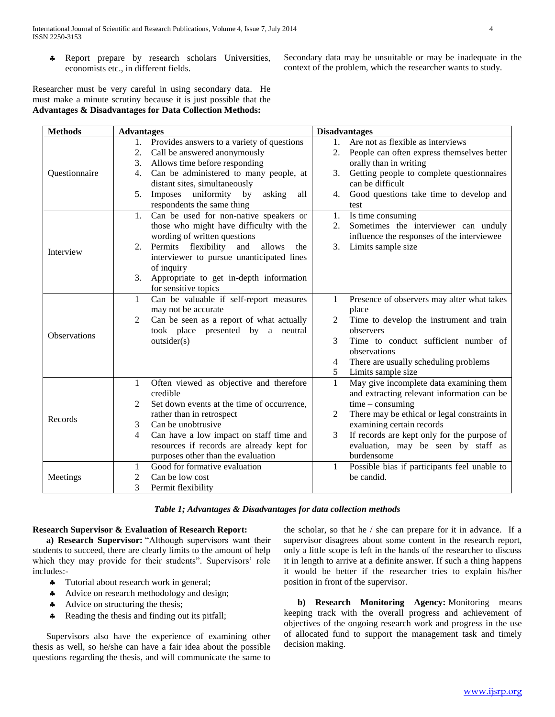\* Report prepare by research scholars Universities, economists etc., in different fields.

Secondary data may be unsuitable or may be inadequate in the context of the problem, which the researcher wants to study.

Researcher must be very careful in using secondary data. He must make a minute scrutiny because it is just possible that the **Advantages & Disadvantages for Data Collection Methods:**

| <b>Methods</b> | <b>Advantages</b>                                                   | <b>Disadvantages</b>                                                       |
|----------------|---------------------------------------------------------------------|----------------------------------------------------------------------------|
| Questionnaire  | Provides answers to a variety of questions<br>1.                    | 1.<br>Are not as flexible as interviews                                    |
|                | Call be answered anonymously<br>2.                                  | 2.<br>People can often express themselves better                           |
|                | Allows time before responding<br>3.                                 | orally than in writing                                                     |
|                | Can be administered to many people, at<br>4.                        | Getting people to complete questionnaires<br>3.                            |
|                | distant sites, simultaneously                                       | can be difficult                                                           |
|                | uniformity by<br>Imposes<br>asking<br>5.<br>all                     | Good questions take time to develop and<br>4.                              |
|                | respondents the same thing                                          | test                                                                       |
| Interview      | Can be used for non-native speakers or<br>1.                        | Is time consuming<br>1.                                                    |
|                | those who might have difficulty with the                            | Sometimes the interviewer can unduly<br>2.                                 |
|                | wording of written questions                                        | influence the responses of the interviewee                                 |
|                | 2. Permits flexibility and<br>allows<br>the                         | 3.<br>Limits sample size                                                   |
|                | interviewer to pursue unanticipated lines                           |                                                                            |
|                | of inquiry                                                          |                                                                            |
|                | Appropriate to get in-depth information<br>3.                       |                                                                            |
|                | for sensitive topics                                                |                                                                            |
| Observations   | Can be valuable if self-report measures<br>1                        | Presence of observers may alter what takes<br>1                            |
|                | may not be accurate                                                 | place                                                                      |
|                | Can be seen as a report of what actually<br>2                       | Time to develop the instrument and train<br>2                              |
|                | took place presented by a neutral                                   | observers                                                                  |
|                | outsider(s)                                                         | 3<br>Time to conduct sufficient number of                                  |
|                |                                                                     | observations                                                               |
|                |                                                                     | There are usually scheduling problems<br>4                                 |
|                |                                                                     | 5<br>Limits sample size                                                    |
| Records        | Often viewed as objective and therefore<br>1                        | May give incomplete data examining them<br>1                               |
|                | credible                                                            | and extracting relevant information can be                                 |
|                | Set down events at the time of occurrence,<br>2                     | $time - consuming$                                                         |
|                | rather than in retrospect<br>Can be unobtrusive                     | There may be ethical or legal constraints in<br>2                          |
|                | 3                                                                   | examining certain records                                                  |
|                | Can have a low impact on staff time and<br>4                        | If records are kept only for the purpose of<br>3                           |
|                | resources if records are already kept for                           | evaluation, may be seen by staff as<br>burdensome                          |
|                | purposes other than the evaluation<br>Good for formative evaluation |                                                                            |
| Meetings       | 1<br>Can be low cost                                                | Possible bias if participants feel unable to<br>$\mathbf{1}$<br>be candid. |
|                | 2                                                                   |                                                                            |
|                | 3<br>Permit flexibility                                             |                                                                            |

## **Research Supervisor & Evaluation of Research Report:**

 **a) Research Supervisor:** "Although supervisors want their students to succeed, there are clearly limits to the amount of help which they may provide for their students". Supervisors' role includes:-

- Tutorial about research work in general;
- Advice on research methodology and design;
- Advice on structuring the thesis;
- A Reading the thesis and finding out its pitfall;

 Supervisors also have the experience of examining other thesis as well, so he/she can have a fair idea about the possible questions regarding the thesis, and will communicate the same to

the scholar, so that he / she can prepare for it in advance. If a supervisor disagrees about some content in the research report, only a little scope is left in the hands of the researcher to discuss it in length to arrive at a definite answer. If such a thing happens it would be better if the researcher tries to explain his/her position in front of the supervisor.

 **b) Research Monitoring Agency:** Monitoring means keeping track with the overall progress and achievement of objectives of the ongoing research work and progress in the use of allocated fund to support the management task and timely decision making.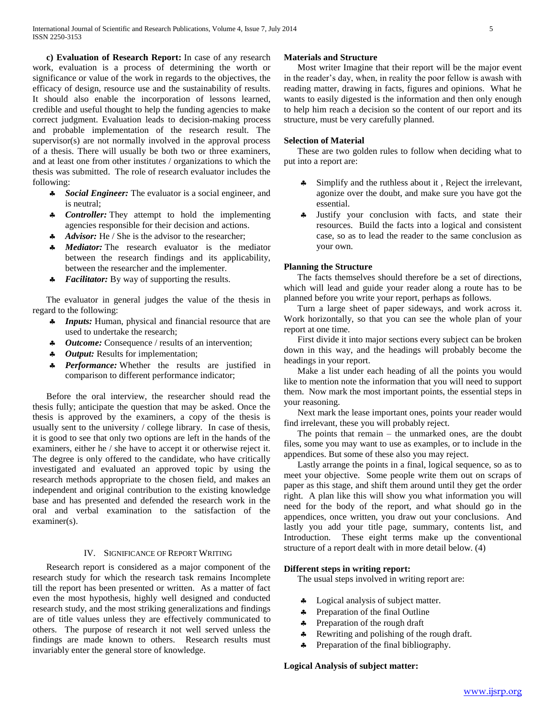**c) Evaluation of Research Report:** In case of any research work, evaluation is a process of determining the worth or significance or value of the work in regards to the objectives, the efficacy of design, resource use and the sustainability of results. It should also enable the incorporation of lessons learned, credible and useful thought to help the funding agencies to make correct judgment. Evaluation leads to decision-making process and probable implementation of the research result. The supervisor(s) are not normally involved in the approval process of a thesis. There will usually be both two or three examiners, and at least one from other institutes / organizations to which the thesis was submitted. The role of research evaluator includes the following:

- *Social Engineer:* The evaluator is a social engineer, and is neutral;
- **\*** *Controller:* They attempt to hold the implementing agencies responsible for their decision and actions.
- A *Advisor:* He / She is the advisor to the researcher;
- *Mediator:* The research evaluator is the mediator between the research findings and its applicability, between the researcher and the implementer.
- *Facilitator:* By way of supporting the results.

 The evaluator in general judges the value of the thesis in regard to the following:

- *A* Inputs: Human, physical and financial resource that are used to undertake the research;
- *4 Outcome:* Consequence / results of an intervention;
- *4 Output:* Results for implementation;
- **\*** *Performance:* Whether the results are justified in comparison to different performance indicator;

 Before the oral interview, the researcher should read the thesis fully; anticipate the question that may be asked. Once the thesis is approved by the examiners, a copy of the thesis is usually sent to the university / college library. In case of thesis, it is good to see that only two options are left in the hands of the examiners, either he / she have to accept it or otherwise reject it. The degree is only offered to the candidate, who have critically investigated and evaluated an approved topic by using the research methods appropriate to the chosen field, and makes an independent and original contribution to the existing knowledge base and has presented and defended the research work in the oral and verbal examination to the satisfaction of the examiner(s).

#### IV. SIGNIFICANCE OF REPORT WRITING

 Research report is considered as a major component of the research study for which the research task remains Incomplete till the report has been presented or written. As a matter of fact even the most hypothesis, highly well designed and conducted research study, and the most striking generalizations and findings are of title values unless they are effectively communicated to others. The purpose of research it not well served unless the findings are made known to others. Research results must invariably enter the general store of knowledge.

## **Materials and Structure**

 Most writer Imagine that their report will be the major event in the reader's day, when, in reality the poor fellow is awash with reading matter, drawing in facts, figures and opinions. What he wants to easily digested is the information and then only enough to help him reach a decision so the content of our report and its structure, must be very carefully planned.

#### **Selection of Material**

 These are two golden rules to follow when deciding what to put into a report are:

- Simplify and the ruthless about it , Reject the irrelevant, agonize over the doubt, and make sure you have got the essential.
- Justify your conclusion with facts, and state their resources. Build the facts into a logical and consistent case, so as to lead the reader to the same conclusion as your own.

#### **Planning the Structure**

 The facts themselves should therefore be a set of directions, which will lead and guide your reader along a route has to be planned before you write your report, perhaps as follows.

 Turn a large sheet of paper sideways, and work across it. Work horizontally, so that you can see the whole plan of your report at one time.

 First divide it into major sections every subject can be broken down in this way, and the headings will probably become the headings in your report.

 Make a list under each heading of all the points you would like to mention note the information that you will need to support them. Now mark the most important points, the essential steps in your reasoning.

 Next mark the lease important ones, points your reader would find irrelevant, these you will probably reject.

 The points that remain – the unmarked ones, are the doubt files, some you may want to use as examples, or to include in the appendices. But some of these also you may reject.

 Lastly arrange the points in a final, logical sequence, so as to meet your objective. Some people write them out on scraps of paper as this stage, and shift them around until they get the order right. A plan like this will show you what information you will need for the body of the report, and what should go in the appendices, once written, you draw out your conclusions. And lastly you add your title page, summary, contents list, and Introduction. These eight terms make up the conventional structure of a report dealt with in more detail below. (4)

## **Different steps in writing report:**

The usual steps involved in writing report are:

- Logical analysis of subject matter.
- Preparation of the final Outline
- Preparation of the rough draft
- **A** Rewriting and polishing of the rough draft.
- Preparation of the final bibliography.

## **Logical Analysis of subject matter:**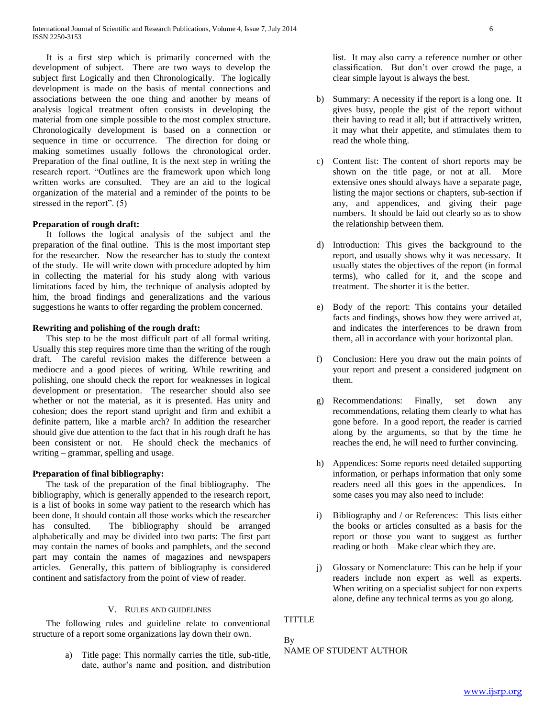It is a first step which is primarily concerned with the development of subject. There are two ways to develop the subject first Logically and then Chronologically. The logically development is made on the basis of mental connections and associations between the one thing and another by means of analysis logical treatment often consists in developing the material from one simple possible to the most complex structure. Chronologically development is based on a connection or sequence in time or occurrence. The direction for doing or making sometimes usually follows the chronological order. Preparation of the final outline, It is the next step in writing the research report. "Outlines are the framework upon which long written works are consulted. They are an aid to the logical organization of the material and a reminder of the points to be stressed in the report". (5)

## **Preparation of rough draft:**

 It follows the logical analysis of the subject and the preparation of the final outline. This is the most important step for the researcher. Now the researcher has to study the context of the study. He will write down with procedure adopted by him in collecting the material for his study along with various limitations faced by him, the technique of analysis adopted by him, the broad findings and generalizations and the various suggestions he wants to offer regarding the problem concerned.

## **Rewriting and polishing of the rough draft:**

 This step to be the most difficult part of all formal writing. Usually this step requires more time than the writing of the rough draft. The careful revision makes the difference between a mediocre and a good pieces of writing. While rewriting and polishing, one should check the report for weaknesses in logical development or presentation. The researcher should also see whether or not the material, as it is presented. Has unity and cohesion; does the report stand upright and firm and exhibit a definite pattern, like a marble arch? In addition the researcher should give due attention to the fact that in his rough draft he has been consistent or not. He should check the mechanics of writing – grammar, spelling and usage.

## **Preparation of final bibliography:**

 The task of the preparation of the final bibliography. The bibliography, which is generally appended to the research report, is a list of books in some way patient to the research which has been done, It should contain all those works which the researcher has consulted. The bibliography should be arranged alphabetically and may be divided into two parts: The first part may contain the names of books and pamphlets, and the second part may contain the names of magazines and newspapers articles. Generally, this pattern of bibliography is considered continent and satisfactory from the point of view of reader.

## V. RULES AND GUIDELINES

 The following rules and guideline relate to conventional structure of a report some organizations lay down their own.

> a) Title page: This normally carries the title, sub-title, date, author's name and position, and distribution

list. It may also carry a reference number or other classification. But don't over crowd the page, a clear simple layout is always the best.

- b) Summary: A necessity if the report is a long one. It gives busy, people the gist of the report without their having to read it all; but if attractively written, it may what their appetite, and stimulates them to read the whole thing.
- c) Content list: The content of short reports may be shown on the title page, or not at all. More extensive ones should always have a separate page, listing the major sections or chapters, sub-section if any, and appendices, and giving their page numbers. It should be laid out clearly so as to show the relationship between them.
- d) Introduction: This gives the background to the report, and usually shows why it was necessary. It usually states the objectives of the report (in formal terms), who called for it, and the scope and treatment. The shorter it is the better.
- e) Body of the report: This contains your detailed facts and findings, shows how they were arrived at, and indicates the interferences to be drawn from them, all in accordance with your horizontal plan.
- f) Conclusion: Here you draw out the main points of your report and present a considered judgment on them.
- g) Recommendations: Finally, set down any recommendations, relating them clearly to what has gone before. In a good report, the reader is carried along by the arguments, so that by the time he reaches the end, he will need to further convincing.
- h) Appendices: Some reports need detailed supporting information, or perhaps information that only some readers need all this goes in the appendices. In some cases you may also need to include:
- i) Bibliography and / or References: This lists either the books or articles consulted as a basis for the report or those you want to suggest as further reading or both – Make clear which they are.
- j) Glossary or Nomenclature: This can be help if your readers include non expert as well as experts. When writing on a specialist subject for non experts alone, define any technical terms as you go along.

TITTLE

# By NAME OF STUDENT AUTHOR